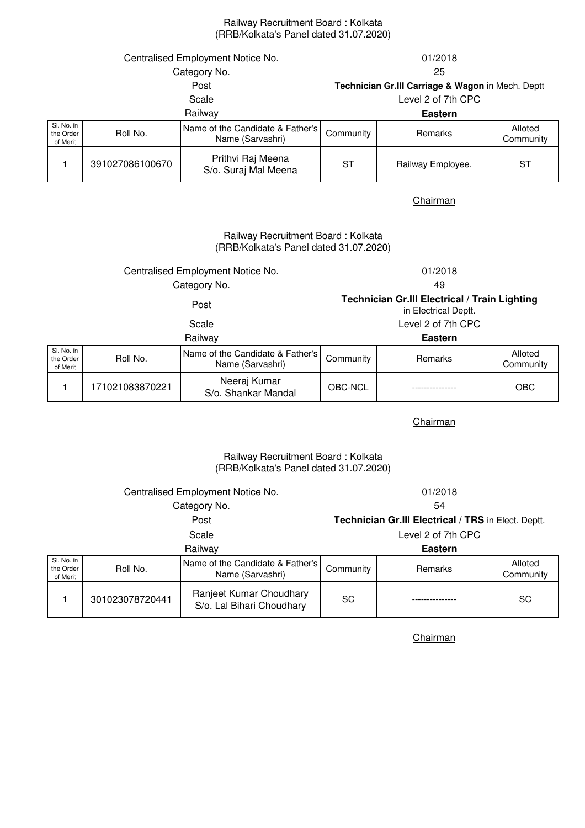### Railway Recruitment Board : Kolkata (RRB/Kolkata's Panel dated 31.07.2020)

| Centralised Employment Notice No.   |                 |                                                      | 01/2018                                           |                   |                      |
|-------------------------------------|-----------------|------------------------------------------------------|---------------------------------------------------|-------------------|----------------------|
| Category No.                        |                 |                                                      | 25                                                |                   |                      |
| Post                                |                 |                                                      | Technician Gr.III Carriage & Wagon in Mech. Deptt |                   |                      |
| Scale                               |                 |                                                      | Level 2 of 7th CPC                                |                   |                      |
| Railway                             |                 |                                                      | <b>Eastern</b>                                    |                   |                      |
| SI. No. in<br>the Order<br>of Merit | Roll No.        | Name of the Candidate & Father's<br>Name (Sarvashri) | Community                                         | <b>Remarks</b>    | Alloted<br>Community |
|                                     | 391027086100670 | Prithvi Raj Meena<br>S/o. Suraj Mal Meena            | SТ                                                | Railway Employee. | <b>ST</b>            |

**Chairman** 

### (RRB/Kolkata's Panel dated 31.07.2020) Railway Recruitment Board : Kolkata

## Centralised Employment Notice No. 01/2018 Category No. 49

# Post **Technician Gr.III Electrical / Train Lighting**

in Electrical Deptt.

|                                     |                 | Railwav                                              |           | <b>Eastern</b> |                      |
|-------------------------------------|-----------------|------------------------------------------------------|-----------|----------------|----------------------|
| Sl. No. in<br>the Order<br>of Merit | Roll No.        | Name of the Candidate & Father's<br>Name (Sarvashri) | Community | <b>Remarks</b> | Alloted<br>Community |
|                                     | 171021083870221 | Neeraj Kumar<br>S/o. Shankar Mandal                  | OBC-NCL   |                | <b>OBC</b>           |

**Chairman** 

### Railway Recruitment Board : Kolkata (RRB/Kolkata's Panel dated 31.07.2020)

| Centralised Employment Notice No.   |                 | 01/2018                                              |           |                |                      |
|-------------------------------------|-----------------|------------------------------------------------------|-----------|----------------|----------------------|
| Category No.                        |                 |                                                      | 54        |                |                      |
| Post                                |                 | Technician Gr.III Electrical / TRS in Elect. Deptt.  |           |                |                      |
| Scale                               |                 | Level 2 of 7th CPC                                   |           |                |                      |
| Railway                             |                 | <b>Eastern</b>                                       |           |                |                      |
| SI. No. in<br>the Order<br>of Merit | Roll No.        | Name of the Candidate & Father's<br>Name (Sarvashri) | Community | <b>Remarks</b> | Alloted<br>Community |
|                                     | 301023078720441 | Ranjeet Kumar Choudhary<br>S/o. Lal Bihari Choudhary | SC        |                | SC                   |

**Chairman** 

Scale Level 2 of 7th CPC